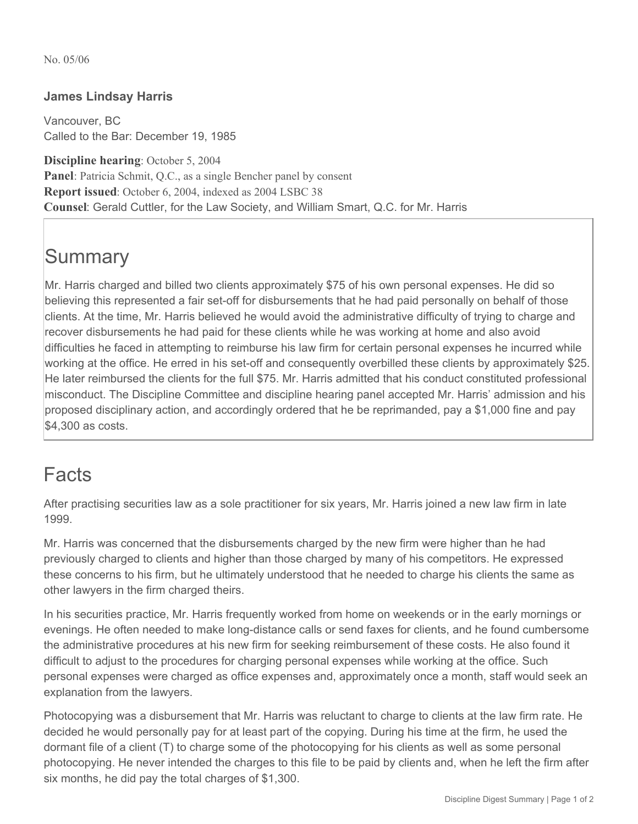No. 05/06

## **James Lindsay Harris**

Vancouver, BC Called to the Bar: December 19, 1985

**Discipline hearing**: October 5, 2004 **Panel**: Patricia Schmit, Q.C., as a single Bencher panel by consent **Report issued**: October 6, 2004, indexed as 2004 LSBC 38 **Counsel**: Gerald Cuttler, for the Law Society, and William Smart, Q.C. for Mr. Harris

## **Summary**

Mr. Harris charged and billed two clients approximately \$75 of his own personal expenses. He did so believing this represented a fair set-off for disbursements that he had paid personally on behalf of those clients. At the time, Mr. Harris believed he would avoid the administrative difficulty of trying to charge and recover disbursements he had paid for these clients while he was working at home and also avoid difficulties he faced in attempting to reimburse his law firm for certain personal expenses he incurred while working at the office. He erred in his set-off and consequently overbilled these clients by approximately \$25. He later reimbursed the clients for the full \$75. Mr. Harris admitted that his conduct constituted professional misconduct. The Discipline Committee and discipline hearing panel accepted Mr. Harris' admission and his proposed disciplinary action, and accordingly ordered that he be reprimanded, pay a \$1,000 fine and pay \$4,300 as costs.

## Facts

After practising securities law as a sole practitioner for six years, Mr. Harris joined a new law firm in late 1999.

Mr. Harris was concerned that the disbursements charged by the new firm were higher than he had previously charged to clients and higher than those charged by many of his competitors. He expressed these concerns to his firm, but he ultimately understood that he needed to charge his clients the same as other lawyers in the firm charged theirs.

In his securities practice, Mr. Harris frequently worked from home on weekends or in the early mornings or evenings. He often needed to make long-distance calls or send faxes for clients, and he found cumbersome the administrative procedures at his new firm for seeking reimbursement of these costs. He also found it difficult to adjust to the procedures for charging personal expenses while working at the office. Such personal expenses were charged as office expenses and, approximately once a month, staff would seek an explanation from the lawyers.

Photocopying was a disbursement that Mr. Harris was reluctant to charge to clients at the law firm rate. He decided he would personally pay for at least part of the copying. During his time at the firm, he used the dormant file of a client (T) to charge some of the photocopying for his clients as well as some personal photocopying. He never intended the charges to this file to be paid by clients and, when he left the firm after six months, he did pay the total charges of \$1,300.